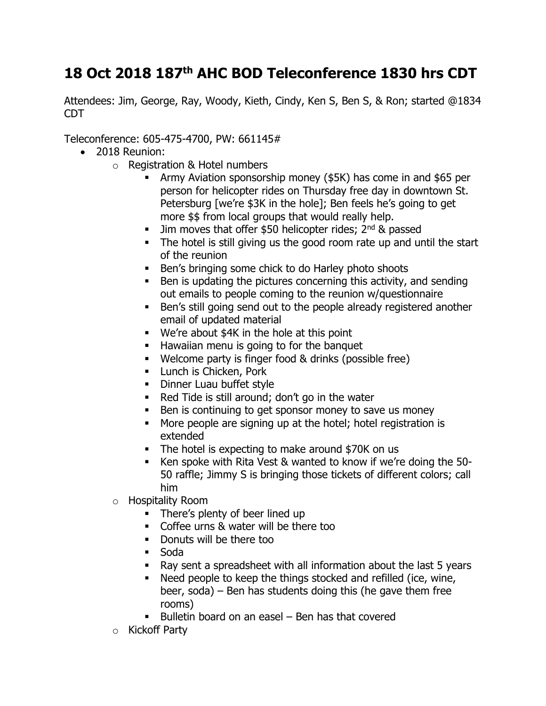## **18 Oct 2018 187th AHC BOD Teleconference 1830 hrs CDT**

Attendees: Jim, George, Ray, Woody, Kieth, Cindy, Ken S, Ben S, & Ron; started @1834 CDT

Teleconference: 605-475-4700, PW: 661145#

- 2018 Reunion:
	- o Registration & Hotel numbers
		- **EXECT:** Army Aviation sponsorship money (\$5K) has come in and \$65 per person for helicopter rides on Thursday free day in downtown St. Petersburg [we're \$3K in the hole]; Ben feels he's going to get more \$\$ from local groups that would really help.
		- **.** Jim moves that offer \$50 helicopter rides;  $2^{nd}$  & passed
		- The hotel is still giving us the good room rate up and until the start of the reunion
		- Ben's bringing some chick to do Harley photo shoots
		- Ben is updating the pictures concerning this activity, and sending out emails to people coming to the reunion w/questionnaire
		- Ben's still going send out to the people already registered another email of updated material
		- We're about \$4K in the hole at this point
		- Hawaiian menu is going to for the banquet
		- Welcome party is finger food & drinks (possible free)
		- **Example 1** Lunch is Chicken, Pork
		- **•** Dinner Luau buffet style
		- Red Tide is still around; don't go in the water
		- Ben is continuing to get sponsor money to save us money
		- More people are signing up at the hotel; hotel registration is extended
		- The hotel is expecting to make around \$70K on us
		- Ken spoke with Rita Vest & wanted to know if we're doing the 50- 50 raffle; Jimmy S is bringing those tickets of different colors; call him
	- o Hospitality Room
		- There's plenty of beer lined up
		- Coffee urns & water will be there too
		- Donuts will be there too
		- Soda
		- Ray sent a spreadsheet with all information about the last 5 years
		- Need people to keep the things stocked and refilled (ice, wine, beer, soda) – Ben has students doing this (he gave them free rooms)
		- Bulletin board on an easel Ben has that covered
	- o Kickoff Party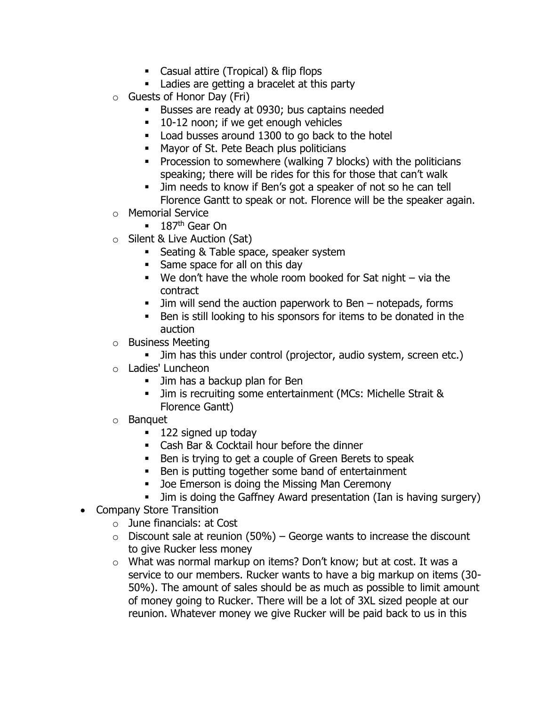- Casual attire (Tropical) & flip flops
- Ladies are getting a bracelet at this party
- o Guests of Honor Day (Fri)
	- **EXEL BUSSES are ready at 0930; bus captains needed**
	- 10-12 noon; if we get enough vehicles
	- Load busses around 1300 to go back to the hotel
	- Mayor of St. Pete Beach plus politicians
	- Procession to somewhere (walking 7 blocks) with the politicians speaking; there will be rides for this for those that can't walk
	- Jim needs to know if Ben's got a speaker of not so he can tell Florence Gantt to speak or not. Florence will be the speaker again.
- o Memorial Service
	- 187<sup>th</sup> Gear On
- o Silent & Live Auction (Sat)
	- Seating & Table space, speaker system
	- Same space for all on this day
	- $\blacksquare$  We don't have the whole room booked for Sat night via the contract
	- Jim will send the auction paperwork to Ben notepads, forms
	- Ben is still looking to his sponsors for items to be donated in the auction
- o Business Meeting
	- **.** Jim has this under control (projector, audio system, screen etc.)
- o Ladies' Luncheon
	- **.** Jim has a backup plan for Ben
	- **.** Jim is recruiting some entertainment (MCs: Michelle Strait & Florence Gantt)
- o Banquet
	- 122 signed up today
	- Cash Bar & Cocktail hour before the dinner
	- Ben is trying to get a couple of Green Berets to speak
	- Ben is putting together some band of entertainment
	- Joe Emerson is doing the Missing Man Ceremony
	- **.** Jim is doing the Gaffney Award presentation (Ian is having surgery)
- Company Store Transition
	- $\circ$  June financials: at Cost
	- $\circ$  Discount sale at reunion (50%) George wants to increase the discount to give Rucker less money
	- o What was normal markup on items? Don't know; but at cost. It was a service to our members. Rucker wants to have a big markup on items (30- 50%). The amount of sales should be as much as possible to limit amount of money going to Rucker. There will be a lot of 3XL sized people at our reunion. Whatever money we give Rucker will be paid back to us in this